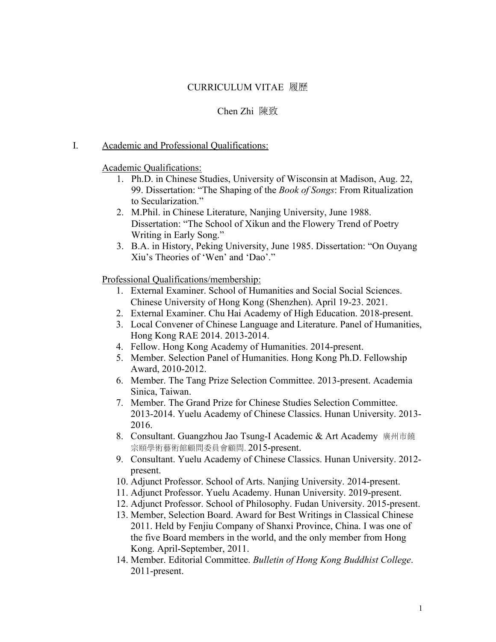### CURRICULUM VITAE 履歷

#### Chen Zhi 陳致

#### I. Academic and Professional Qualifications:

#### Academic Qualifications:

- 1. Ph.D. in Chinese Studies, University of Wisconsin at Madison, Aug. 22, 99. Dissertation: "The Shaping of the *Book of Songs*: From Ritualization to Secularization."
- 2. M.Phil. in Chinese Literature, Nanjing University, June 1988. Dissertation: "The School of Xikun and the Flowery Trend of Poetry Writing in Early Song."
- 3. B.A. in History, Peking University, June 1985. Dissertation: "On Ouyang Xiu's Theories of 'Wen' and 'Dao'."

Professional Qualifications/membership:

- 1. External Examiner. School of Humanities and Social Social Sciences. Chinese University of Hong Kong (Shenzhen). April 19-23. 2021.
- 2. External Examiner. Chu Hai Academy of High Education. 2018-present.
- 3. Local Convener of Chinese Language and Literature. Panel of Humanities, Hong Kong RAE 2014.2013-2014.
- 4. Fellow. Hong Kong Academy of Humanities. 2014-present.
- 5. Member. Selection Panel of Humanities. Hong Kong Ph.D. Fellowship Award, 2010-2012.
- 6. Member. The Tang Prize Selection Committee. 2013-present. Academia Sinica, Taiwan.
- 7. Member. The Grand Prize for Chinese Studies Selection Committee. 2013-2014. Yuelu Academy of Chinese Classics. Hunan University. 2013- 2016.
- 8. Consultant. Guangzhou Jao Tsung-I Academic & Art Academy 廣州市饒 宗頤學術藝術館顧問委員會顧問. 2015-present.
- 9. Consultant. Yuelu Academy of Chinese Classics. Hunan University. 2012 present.
- 10. Adjunct Professor. School of Arts. Nanjing University.2014-present.
- 11. Adjunct Professor. Yuelu Academy. Hunan University. 2019-present.
- 12. Adjunct Professor. School of Philosophy. Fudan University. 2015-present.
- 13. Member, Selection Board. Award for Best Writings in Classical Chinese 2011. Held by Fenjiu Company of Shanxi Province, China. I was one of the five Board members in the world, and the only member from Hong Kong. April-September, 2011.
- 14. Member. Editorial Committee. *Bulletin of Hong Kong Buddhist College*. 2011-present.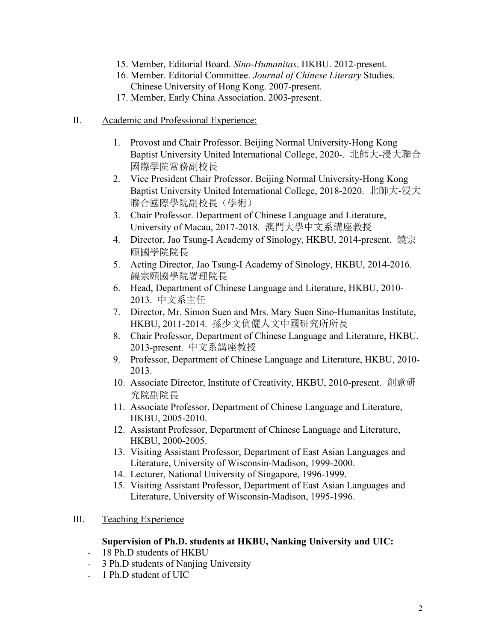- 15. Member, Editorial Board. *Sino-Humanitas*. HKBU. 2012-present.
- 16. Member. Editorial Committee. *Journal of Chinese Literary* Studies. Chinese University of Hong Kong. 2007-present.
- 17. Member, Early China Association. 2003-present.
- II. Academic and Professional Experience:
	- 1. Provost and Chair Professor. Beijing Normal University-Hong Kong Baptist University United International College, 2020-. 北師大-浸大聯合 國際學院常務副校長
	- 2. Vice President Chair Professor. Beijing Normal University-Hong Kong Baptist University United International College, 2018-2020. 北師大-浸大 聯合國際學院副校長(學術)
	- 3. Chair Professor. Department of Chinese Language and Literature, University of Macau, 2017-2018. 澳門大學中文系講座教授
	- 4. Director, Jao Tsung-I Academy of Sinology, HKBU, 2014-present. 饒宗 頤國學院院長
	- 5. Acting Director, Jao Tsung-I Academy of Sinology, HKBU, 2014-2016. 饒宗頤國學院署理院長
	- 6. Head, Department of Chinese Language and Literature, HKBU, 2010- 2013. 中文系主任
	- 7. Director, Mr. Simon Suen and Mrs. Mary Suen Sino-Humanitas Institute, HKBU, 2011-2014. 孫少文伉儷人文中國研究所所長
	- 8. Chair Professor, Department of Chinese Language and Literature, HKBU, 2013-present. 中文系講座教授
	- 9. Professor, Department of Chinese Language and Literature, HKBU, 2010- 2013.
	- 10. Associate Director, Institute of Creativity, HKBU, 2010-present. 創意研 究院副院長
	- 11. Associate Professor, Department of Chinese Language and Literature, HKBU, 2005-2010.
	- 12. Assistant Professor, Department of Chinese Language and Literature, HKBU, 2000-2005.
	- 13. Visiting Assistant Professor, Department of East Asian Languages and Literature, University of Wisconsin-Madison, 1999-2000.
	- 14. Lecturer, National University of Singapore, 1996-1999.
	- 15. Visiting Assistant Professor, Department of East Asian Languages and Literature, University of Wisconsin-Madison, 1995-1996.
- III. Teaching Experience

#### **Supervision of Ph.D. students atHKBU, Nanking University and UIC:**

- 18 Ph.D students of HKBU
- 3 Ph.D students of Nanjing University
- 1 Ph.D student of UIC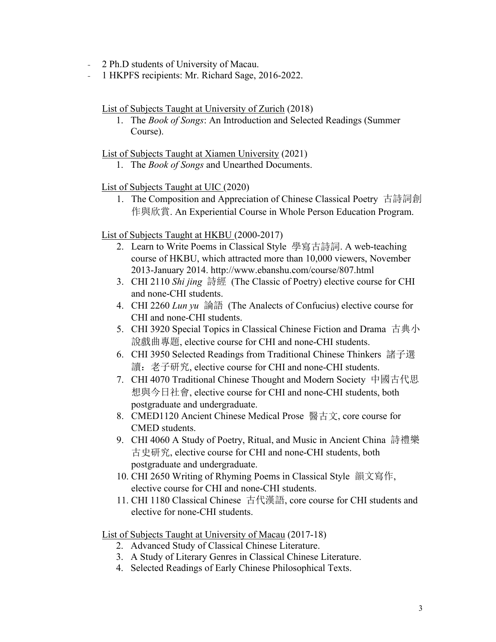- 2 Ph.D students of University of Macau.
- 1 HKPFS recipients: Mr. Richard Sage, 2016-2022.

List of Subjects Taught at University of Zurich (2018)

1. The *Book of Songs*: An Introduction and Selected Readings (Summer Course).

List of Subjects Taught at Xiamen University (2021)

1. The *Book of Songs* and Unearthed Documents.

### List of Subjects Taught at UIC (2020)

1. The Composition and Appreciation of Chinese Classical Poetry 古詩詞創 作與欣賞. An Experiential Course in Whole Person Education Program.

### List of Subjects Taught at HKBU (2000-2017)

- 2. Learn to Write Poems in Classical Style 學寫古詩詞. A web-teaching course of HKBU, which attracted more than 10,000 viewers, November 2013-January 2014. http://www.ebanshu.com/course/807.html
- 3. CHI 2110 *Shi jing* 詩經 (The Classic of Poetry) elective course for CHI and none-CHI students.
- 4. CHI 2260 *Lun yu* 論語 (The Analects ofConfucius) elective course for CHI and none-CHI students.
- 5. CHI 3920 Special Topics in Classical Chinese Fiction and Drama 古典小 說戲曲專題, elective course for CHI and none-CHI students.
- 6. CHI 3950 Selected Readings from Traditional Chinese Thinkers 諸子選 讀: 老子研究, elective course for CHI and none-CHI students.
- 7. CHI 4070 Traditional Chinese Thought and Modern Society 中國古代思 想與今日社會, elective course for CHI and none-CHI students, both postgraduate and undergraduate.
- 8. CMED1120 Ancient Chinese Medical Prose 醫古文, core course for CMED students.
- 9. CHI 4060 A Study of Poetry, Ritual, and Music in Ancient China 詩禮樂 古史研究, elective course for CHI and none-CHI students, both postgraduate and undergraduate.
- 10. CHI 2650 Writing of Rhyming Poems in Classical Style 韻文寫作, elective course for CHI and none-CHI students.
- 11. CHI 1180 Classical Chinese 古代漢語, core course for CHI students and elective for none-CHI students.

List of Subjects Taught at University of Macau (2017-18)

- 2. Advanced Study of Classical Chinese Literature.
- 3. A Study of Literary Genres in Classical Chinese Literature.
- 4. Selected Readings of Early Chinese Philosophical Texts.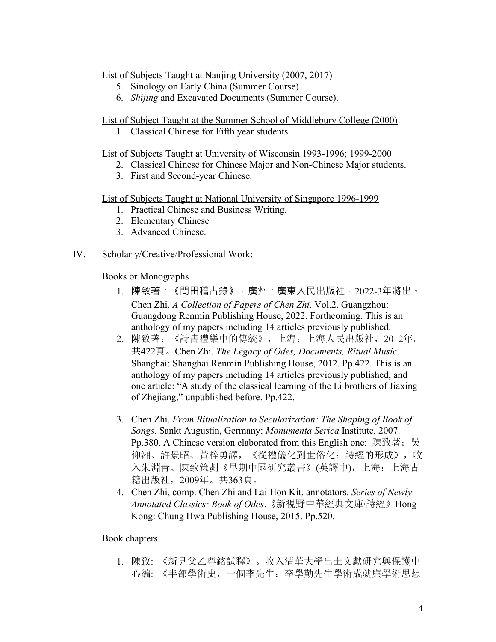### List of Subjects Taught at Nanjing University (2007, 2017)

- 5. Sinology on Early China (Summer Course).
- 6. *Shijing* and Excavated Documents (Summer Course).

### List of Subject Taught at the Summer School of Middlebury College (2000)

1. Classical Chinese for Fifth year students.

### List of Subjects Taught at University of Wisconsin 1993-1996; 1999-2000

- 2. Classical Chinese for Chinese Major and Non-Chinese Major students.
- 3. First and Second-year Chinese.

# List of Subjects Taught at National University of Singapore 1996-1999

- 1. Practical Chinese and Business Writing.
- 2. Elementary Chinese
- 3. Advanced Chinese.

### IV. Scholarly/Creative/Professional Work:

### Books or Monographs

- 1. 陳致著·《問田稽古錄》, 廣州·廣東人民出版社, 2022-3年將出。 Chen Zhi. *A Collection of Papers of Chen Zhi*. Vol.2. Guangzhou: Guangdong Renmin Publishing House, 2022. Forthcoming. This is an anthology of my papers including 14 articles previously published.
- 2. 陳致著:《詩書禮樂中的傳統》,上海:上海人民出版社,2012年。 共422頁。Chen Zhi. *The Legacy of Odes, Documents, Ritual Music*. Shanghai: Shanghai Renmin Publishing House, 2012. Pp.422. This is an anthology of my papers including 14 articles previously published, and one article: "A study of the classical learning of the Li brothers of Jiaxing of Zhejiang," unpublished before. Pp.422.
- 3. Chen Zhi. *From Ritualization to Secularization: The Shaping of Book of Songs*. Sankt Augustin, Germany: *Monumenta Serica* Institute, 2007. Pp.380. A Chinese version elaborated from this English one: 陳致著; 吳 仰湘、許景昭、黃梓勇譯,《從禮儀化到世俗化:詩經的形成》,收 入朱淵青、陳致策劃《早期中國研究叢書》(英譯中),上海:上海古 籍出版社,2009年。共363頁。
- 4. Chen Zhi, comp. Chen Zhi and Lai Hon Kit, annotators. *Series of Newly Annotated Classics: Book of Odes*.《新視野中華經典文庫‧詩經》Hong Kong: Chung Hwa Publishing House, 2015. Pp.520.

# Book chapters

1. 陳致: 《新見父乙尊銘試釋》。收入清華大學出土文獻研究與保護中 心編: 《半部學術史,一個李先生:李學勤先生學術成就與學術思想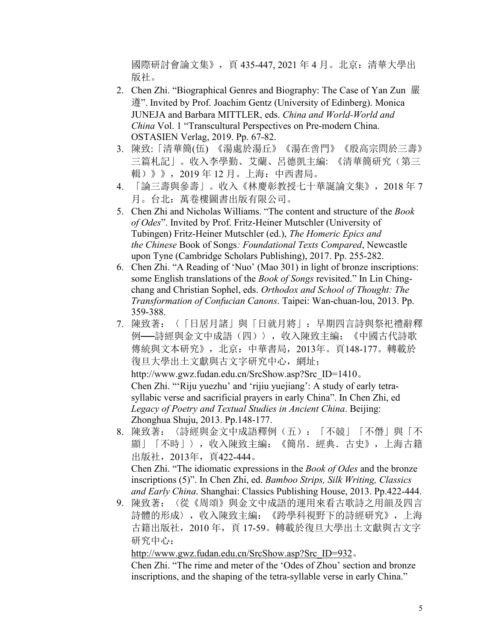國際研討會論文集》,頁 435-447, 2021 年 4 月。北京:清華大學出 版社。

- 2. Chen Zhi. "Biographical Genres and Biography: The Case of Yan Zun 嚴 遵". Invited by Prof. Joachim Gentz (University of Edinberg). Monica JUNEJA and Barbara MITTLER, eds. *China and World-World and China* Vol. 1 "Transcultural Perspectives on Pre-modern China. OSTASIEN Verlag, 2019. Pp. 67-82.
- 3. 陳致:「清華簡(伍) 《湯處於湯丘》《湯在啻門》《殷高宗問於三壽》 三篇札記」。收入李學勤、艾蘭、呂德凱主編: 《清華簡研究(第三 輯)》》,2019 年 12 月。上海:中西書局。
- 4. 「論三壽與參壽」。收入《林慶彰教授七十華誕論文集》,2018 年 7 月。台北:萬卷樓圖書出版有限公司。
- 5. Chen Zhi and Nicholas Williams. "The contentand structure of the *Book of Odes*". Invited by Prof. Fritz-Heiner Mutschler (University of Tubingen) Fritz-Heiner Mutschler (ed.), *The Homeric Epics and the Chinese* Book of Songs*: Foundational Texts Compared*, Newcastle upon Tyne (Cambridge Scholars Publishing), 2017. Pp. 255-282.
- 6. Chen Zhi. "A Reading of 'Nuo' (Mao 301) in light of bronze inscriptions: some English translations of the *Book of Songs* revisited." In Lin Chingchang and Christian Sophel, eds. *Orthodox and School of Thought: The Transformation of Confucian Canons*. Taipei: Wan-chuan-lou, 2013. Pp. 359-388.
- 7. 陳致著:〈「日居月諸」與「日就月將」:早期四言詩與祭祀禮辭釋 例──詩經與金文中成語(四)〉,收入陳致主編:《中國古代詩歌 傳統與文本研究》,北京:中華書局,2013年。頁148-177。轉載於 復旦大學出土文獻與古文字研究中心,網址:

http://www.gwz.fudan.edu.cn/SrcShow.asp?Src\_ID=1410。 Chen Zhi. "'Riju yuezhu' and 'rijiu yuejiang': A study of early tetra syllabic verse and sacrificial prayers in early China". In Chen Zhi, ed *Legacy of Poetry and Textual Studies in Ancient China*. Beijing: Zhonghua Shuju, 2013. Pp.148-177.

- 8. 陳致著:〈詩經與金文中成語釋例(五):「不競」「不僭」與「不 顯」「不時」〉,收入陳致主編:《簡帛.經典.古史》,上海古籍 出版社,2013年,頁422-444。 Chen Zhi. "The idiomatic expressions in the *Book of Odes* and the bronze inscriptions (5)". In Chen Zhi, ed. *Bamboo Strips, Silk Writing, Classics and Early China*. Shanghai: Classics Publishing House, 2013. Pp.422-444.
- 9. 陳致著:〈從《周頌》與金文中成語的運用來看古歌詩之用韻及四言 詩體的形成〉,收入陳致主編:《跨學科視野下的詩經研究》,上海 古籍出版社, 2010年, 頁 17-59。轉載於復旦大學出土文獻與古文字 研究中心:

[http://www.gwz.fudan.edu.cn/SrcShow.asp?Src\\_ID=932](http://www.gwz.fudan.edu.cn/SrcShow.asp?Src_ID=932)。

Chen Zhi. "The rime and meter of the 'Odes of Zhou' section and bronze inscriptions, and the shaping of the tetra-syllable verse in early China."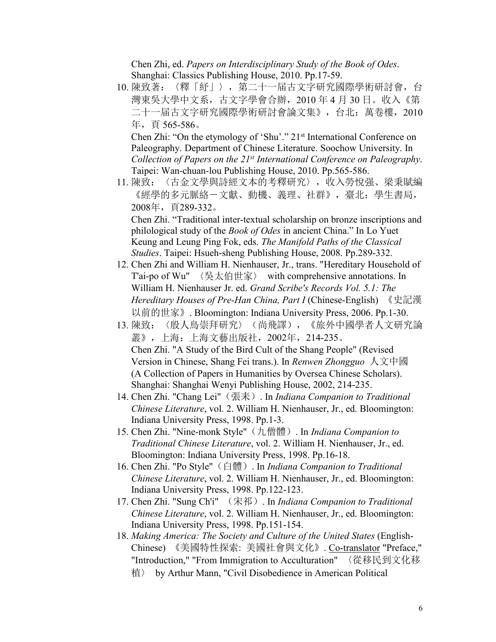Chen Zhi, ed. *Papers on Interdisciplinary Study of the Book of Odes*. Shanghai: Classics Publishing House, 2010. Pp.17-59.

10. 陳致著:〈釋「紓」〉,第二十一届古文字研究國際學術研討會,台 灣東吳大學中文系,古文字學會合辦,2010 年 4 月 30 日。收入《第 二十一届古文字研究國際學術研討會論文集》,台北:萬卷樓,2010 年,頁 565-586。

Chen Zhi: "On the etymology of 'Shu'." 21 st International Conference on Paleography. Department of Chinese Literature. Soochow University. In *Collection of Papers on the 21 st International Conference on Paleography*. Taipei: Wan-chuan-lou Publishing House, 2010. Pp.565-586.

11. 陳致:〈古金文學與詩經文本的考釋研究〉,收入勞悅强、梁秉賦編 《經學的多元脈絡-文獻、動機、義理、社群》,臺北:學生書局, 2008年,頁289-332。

Chen Zhi. "Traditional inter-textual scholarship on bronze inscriptions and philological study of the *Book of Odes* in ancient China." In Lo Yuet Keung and Leung Ping Fok, eds. *The Manifold Paths of the Classical Studies*. Taipei: Hsueh-sheng Publishing House, 2008. Pp.289-332.

- 12. Chen Zhi and William H. Nienhauser, Jr., trans. "Hereditary Household of T'ai-po of Wu" 〈吳太伯世家〉 with comprehensive annotations. In William H. Nienhauser Jr. ed. *Grand Scribe's Records Vol. 5.1: The Hereditary Houses of Pre-Han China, Part I* (Chinese-English) 《史記漢 以前的世家》. Bloomington: Indiana University Press, 2006. Pp.1-30.
- 13. 陳致:〈殷人鳥崇拜研究〉(尚飛譯),《旅外中國學者人文研究論 叢》,上海:上海文藝出版社,2002年,214-235。 Chen Zhi. "A Study of the Bird Cult of the Shang People" (Revised Version in Chinese,Shang Fei trans.). In *Renwen Zhongguo* 人文中國 (A Collection of Papers in Humanities by Oversea Chinese Scholars). Shanghai: Shanghai Wenyi Publishing House, 2002, 214-235.
- 14. Chen Zhi. "Chang Lei"(張耒). In *Indiana Companion to Traditional Chinese Literature*, vol. 2. William H. Nienhauser, Jr., ed. Bloomington: Indiana University Press, 1998. Pp.1-3.
- 15. Chen Zhi. "Nine-monk Style"(九僧體). In *Indiana Companion to Traditional Chinese Literature*, vol. 2. William H. Nienhauser, Jr., ed. Bloomington: Indiana University Press, 1998. Pp.16-18.
- 16. Chen Zhi. "Po Style"(白體). In *Indiana Companion to Traditional Chinese Literature*, vol. 2. William H. Nienhauser, Jr., ed. Bloomington: Indiana University Press, 1998. Pp.122-123.
- 17. Chen Zhi. "Sung Ch'i" (宋祁). In *Indiana Companion to Traditional Chinese Literature*, vol. 2. William H. Nienhauser, Jr., ed. Bloomington: Indiana University Press, 1998. Pp.151-154.
- 18. *Making America: The Society and Culture of the United States* (English- Chinese) 《美國特性探索: 美國社會與文化》. Co-translator "Preface," "Introduction," "From Immigrationto Acculturation" 〈從移民到文化移 植〉 by Arthur Mann, "Civil Disobedience in American Political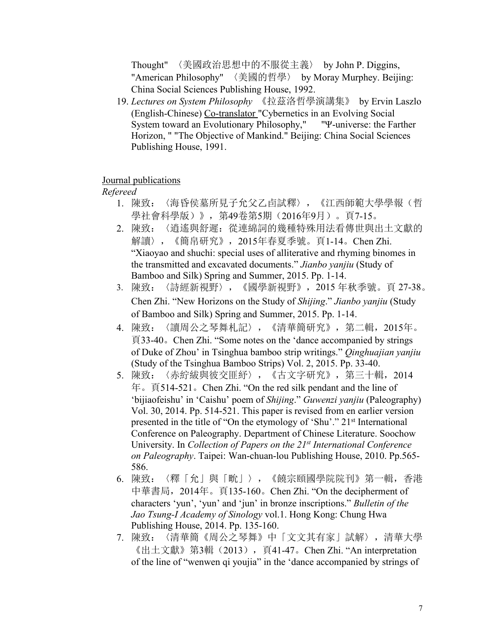Thought" 〈美國政治思想中的不服從主義〉 by John P. Diggins,<br>"American Philosophy" 〈美國的哲學〉 by Moray Murphey. Beijing: China Social Sciences Publishing House, 1992.

19. *Lectures on System Philosophy* 《拉茲洛哲學演講集》 by Ervin Laszlo (English-Chinese) Co-translator "Cybernetics in an Evolving Social System toward an Evolutionary Philosophy," "Ψ-universe: the Farther Horizon, " "The Objective of Mankind." Beijing: China Social Sciences Publishing House, 1991.

#### Journal publications

#### *Refereed*

- 1. 陳致:〈海昏侯墓所見子允父乙卣試釋〉,《江西師範大學學報(哲 學社會科學版)》,第49卷第5期(2016年9月)。頁7-15。
- 2. 陳致:〈逍遙與舒遲:從連綿詞的幾種特殊用法看傳世與出土文獻的 解讀〉,《簡帛研究》,2015年春夏季號。頁1-14。Chen Zhi. "Xiaoyao and shuchi: special uses of alliterative and rhyming binomes in the transmitted and excavated documents." *Jianbo yanjiu* (Study of Bamboo and Silk) Spring and Summer, 2015. Pp. 1-14.
- 3. 陳致:〈詩經新視野〉,《國學新視野》,2015 年秋季號。頁 27-38。 Chen Zhi. "New Horizons on the Study of *Shijing*." *Jianbo yanjiu* (Study of Bamboo and Silk) Spring and Summer, 2015. Pp. 1-14.
- 4. 陳致:〈讀周公之琴舞札記〉,《清華簡研究》,第二輯,2015年。 頁33-40。Chen Zhi. "Some notes on the 'dance accompanied by strings of Duke of Zhou' in Tsinghua bamboo strip writings." *Qinghuajian yanjiu* (Study of the Tsinghua Bamboo Strips) Vol. 2, 2015. Pp. 33-40.
- 5. 陳致:〈赤紵紱與彼交匪紓〉,《古文字研究》,第三十輯,2014 年。頁514-521。Chen Zhi. "On the red silk pendant and the line of 'bijiaofeishu' in 'Caishu' poem of *Shijing*." *Guwenzi yanjiu* (Paleography) Vol. 30, 2014. Pp. 514-521. This paper is revised from en earlier version presented in the title of "On the etymology of 'Shu'." 21<sup>st</sup> International Conference on Paleography. Department of Chinese Literature. Soochow University. In *Collection of Papers on the 21 st International Conference on Paleography*. Taipei: Wan-chuan-lou Publishing House, 2010. Pp.565- 586.
- 6. 陳致:〈釋「允」與「㽙」〉,《饒宗頤國學院院刊》第一輯,香港 中華書局,2014年。頁135-160。Chen Zhi. "On the decipherment of characters 'yun', 'yun' and 'jun' in bronze inscriptions." *Bulletin of the Jao Tsung-I Academy of Sinology* vol.1. Hong Kong: Chung Hwa Publishing House, 2014. Pp. 135-160.
- 7. 陳致:〈清華簡《周公之琴舞》中「文文其有家」試解〉,清華大學 《出土文獻》第3輯(2013), 頁41-47。Chen Zhi. "An interpretation of the line of "wenwen qi youjia" in the 'dance accompanied by strings of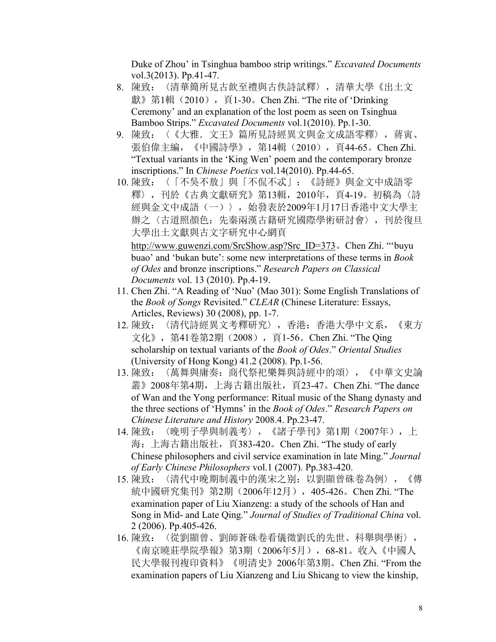Duke of Zhou' in Tsinghua bamboo strip writings." *Excavated Documents* vol.3(2013). Pp.41-47.

- 8. 陳致:〈清華簡所見古飲至禮與古佚詩試釋〉,清華大學《出土文 獻》第1輯 (2010), 頁1-30。Chen Zhi. "The rite of 'Drinking Ceremony' and an explanation of the lost poem as seen on Tsinghua Bamboo Strips." *Excavated Documents* vol.1(2010). Pp.1-30.
- 9. 陳致: 〈《大雅. 文王》篇所見詩經異文與金文成語零釋〉,蔣寅、 張伯偉主編, 《中國詩學》, 第14輯 (2010), 頁44-65。Chen Zhi. "Textual variants in the 'King Wen' poem and the contemporary bronze inscriptions." In *Chinese Poetics* vol.14(2010). Pp.44-65.
- 10. 陳致:〈「不吳不敖」與「不侃不忒」:《詩經》與金文中成語零 釋〉,刊於《古典文獻研究》第13輯,2010年,頁4-19。初稿為〈詩 經與金文中成語(一)〉,始發表於2009年1月17日香港中文大學主 辦之〈古道照顏色:先秦兩漢古籍研究國際學術研討會〉,刊於復旦 大學出土文獻與古文字研究中心網頁 [http://www.guwenzi.com/SrcShow.asp?Src\\_ID=373](http://www.guwenzi.com/SrcShow.asp?Src_ID=373)。Chen Zhi. "'buyu

buao' and 'bukan bute': some new interpretations of these terms in *Book of Odes* and bronze inscriptions." *Research Papers on Classical Documents* vol. 13 (2010). Pp.4-19.

- 11. Chen Zhi. "A Reading of 'Nuo' (Mao 301): Some English Translations of the *Book of Songs* Revisited." *CLEAR* (Chinese Literature: Essays, Articles, Reviews) 30 (2008), pp. 1-7.
- 12. 陳致:〈清代詩經異文考釋研究〉,香港:香港大學中文系,《東方 文化》,第41卷第2期(2008),頁1-56。Chen Zhi. "The Qing scholarship on textual variants of the *Book of Odes.*" *Oriental Studies* (University of Hong Kong) 41.2 (2008). Pp.1-56.
- 13. 陳致:〈萬舞與庸奏:商代祭祀樂舞與詩經中的頌〉,《中華文史論 叢》2008年第4期,上海古籍出版社,頁23-47。Chen Zhi. "The dance of Wan and the Yong performance: Ritual music of the Shang dynasty and the three sections of'Hymns' in the *Book of Odes*." *Research Papers on Chinese Literature and History* 2008.4. Pp.23-47.
- 14. 陳致: 〈晚明子學與制義考〉, 《諸子學刊》第1期(2007年), 上 海:上海古籍出版社,頁383-420。Chen Zhi. "The study of early Chinese philosophers and civil service examination in late Ming." *Journal of Early Chinese Philosophers* vol.1 (2007). Pp.383-420.
- 15. 陳致:〈清代中晚期制義中的漢宋之别:以劉顯曾硃卷為例〉,《傳 統中國研究集刊》第2期(2006年12月),405-426。Chen Zhi. "The examination paper of Liu Xianzeng: a study of the schools of Han and Song in Mid- and Late Qing." *Journal of Studies of Traditional China* vol. 2 (2006). Pp.405-426.
- 16. 陳致:〈從劉顯曾、劉師蒼硃卷看儀徵劉氏的先世、科舉與學術〉, 《南京曉莊學院學報》第3期(2006年5月),68-81。收入《中國人 民大學報刊複印資料》《明清史》2006年第3期。Chen Zhi. "From the examination papers of Liu Xianzeng and Liu Shicang to view the kinship,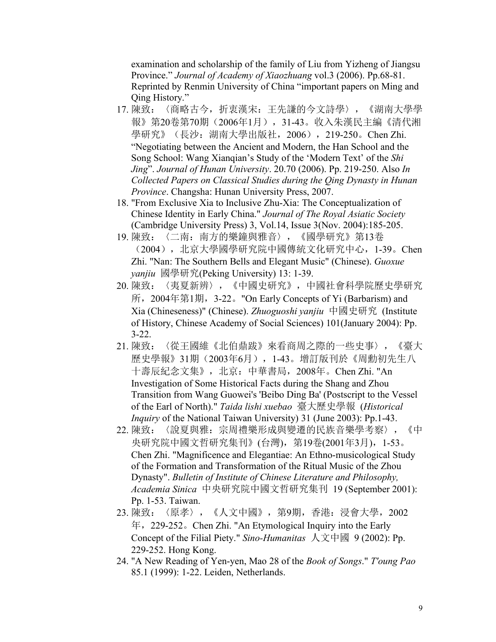examination and scholarship of the family of Liu from Yizheng of Jiangsu Province." *Journal of Academy of Xiaozhuang* vol.3 (2006). Pp.68-81. Reprinted by Renmin University of China "important papers on Ming and Qing History."

- 17. 陳致:〈商略古今,折衷漢宋:王先謙的今文詩學〉,《湖南大學學 報》第20卷第70期(2006年1月),31-43。收入朱漢民主編《清代湘 學研究》(長沙: 湖南大學出版社, 2006), 219-250。Chen Zhi. "Negotiating between the Ancient and Modern, the Han School and the Song School: Wang Xianqian's Study of the 'Modern Text' of the *Shi Jing*". *Journal of Hunan University*. 20.70 (2006). Pp.219-250. Also *In Collected Papers on Classical Studies during the Qing Dynasty in Hunan Province*. Changsha: Hunan University Press, 2007.
- 18. "From Exclusive Xia to Inclusive Zhu-Xia: The Conceptualization of Chinese Identity in Early China." *Journal of The Royal Asiatic Society* (Cambridge University Press) 3, Vol.14, Issue 3(Nov. 2004):185-205.
- 19. 陳致:〈二南:南方的樂鐘與雅音〉,《國學研究》第13卷 (2004),北京大學國學研究院中國傳統文化研究中心,1-39。Chen Zhi. "Nan: The Southern Bells and Elegant Music" (Chinese). *Guoxue yanjiu* 國學研究(Peking University) 13: 1-39.
- 20. 陳致:〈夷夏新辨〉,《中國史研究》,中國社會科學院歷史學研究 所,2004年第1期,3-22。"On Early Concepts ofYi (Barbarism) and Xia (Chineseness)" (Chinese). *Zhuoguoshi yanjiu* 中國史研究 (Institute of History, Chinese Academy of Social Sciences) 101(January 2004): Pp. 3-22.
- 21. 陳致:〈從王國維《北伯鼎跋》來看商周之際的一些史事〉,《臺大 歷史學報》31期(2003年6月),1-43。增訂版刊於《周勳初先生八 十壽辰紀念文集》,北京:中華書局,2008年。Chen Zhi. "An Investigation of Some Historical Facts during the Shang and Zhou Transition from Wang Guowei's 'Beibo Ding Ba' (Postscript to the Vessel of the Earl of North)." *Taida lishi xuebao* 臺大歷史學報 (*Historical Inquiry* of the National Taiwan University) 31 (June 2003): Pp.1-43.
- 22. 陳致:〈說夏與雅:宗周禮樂形成與變遷的民族音樂學考察〉,《中 央研究院中國文哲研究集刊》(台灣),第19卷(2001年3月),1-53。 Chen Zhi. "Magnificence and Elegantiae: An Ethno-musicological Study of the Formation and Transformation of the Ritual Music of the Zhou Dynasty". *Bulletin of Institute of Chinese Literature and Philosophy, Academia Sinica* 中央研究院中國文哲研究集刊 19 (September 2001): Pp. 1-53. Taiwan.
- 23. 陳致:〈原孝〉,《人文中國》,第9期,香港:浸會大學,2002 年,229-252。Chen Zhi. "An Etymological Inquiry into the Early Concept of the Filial Piety." *Sino-Humanitas* 人文中國 <sup>9</sup> (2002): Pp.229-252. Hong Kong.
- 24. "A New Reading of Yen-yen, Mao 28 of the *Book of Songs*." *T'oung Pao* 85.1 (1999): 1-22. Leiden, Netherlands.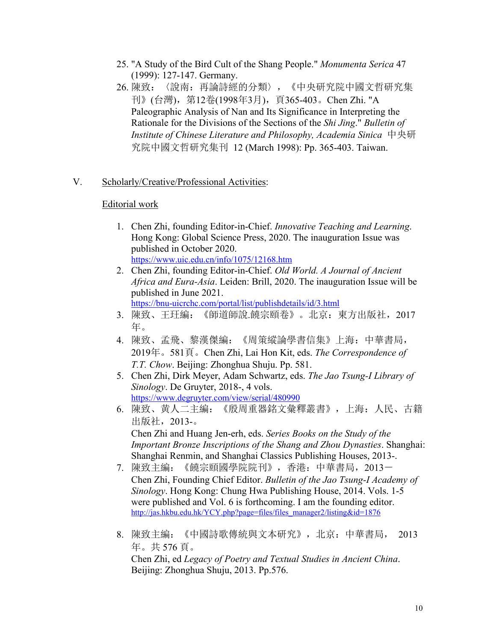- 25. "A Study of the Bird Cult of the Shang People." *Monumenta Serica* 47 (1999): 127-147. Germany.
- 26. 陳致:〈說南:再論詩經的分類〉,《中央研究院中國文哲研究集 刊》(台灣), 第12卷(1998年3月), 頁365-403。Chen Zhi. "A Paleographic Analysis of Nan and Its Significance in Interpreting the Rationale for the Divisions of the Sections of the *Shi Jing*." *Bulletin of Institute of Chinese Literature and Philosophy, Academia Sinica* 中央研 究院中國文哲研究集刊 12 (March 1998): Pp. 365-403. Taiwan.

# V. Scholarly/Creative/Professional Activities:

# Editorial work

- 1. Chen Zhi, founding Editor-in-Chief. *Innovative Teaching and Learning*. Hong Kong: Global Science Press, 2020. The inauguration Issue was published in October 2020. <https://www.uic.edu.cn/info/1075/12168.htm>
- 2. Chen Zhi, founding Editor-in-Chief. *Old World. A Journal of Ancient Africa and Eura-Asia*. Leiden: Brill, 2020. The inauguration Issue will be published in June 2021. <https://bnu-uicrchc.com/portal/list/publishdetails/id/3.html>
- 3. 陳致、王玨編:《師道師說.饒宗頤卷》。北京:東方出版社,2017 **年。** スキャンプ しゅうしゅう しょうしょう
- 4. 陳致、孟飛、黎漢傑編:《周策縱論學書信集》上海:中華書局, 2019年。581頁。Chen Zhi, Lai Hon Kit, eds. *The Correspondence of T.T. Chow*. Beijing: Zhonghua Shuju. Pp. 581.
- 5. Chen Zhi, Dirk Meyer, Adam Schwartz, eds. *The Jao Tsung-I Library of Sinology*. De Gruyter, 2018-, 4 vols. <https://www.degruyter.com/view/serial/480990>
- 6. 陳致、黄人二主編:《殷周重器銘文彙釋叢書》,上海:人民、古籍 出版社,2013-。 Chen Zhi and Huang Jen-erh, eds. *Series Books on the Study of the Important Bronze Inscriptions of the Shang and Zhou Dynasties*. Shanghai: Shanghai Renmin, and Shanghai Classics Publishing Houses, 2013-.
- 7. 陳致主編:《饒宗頤國學院院刊》,香港:中華書局,2013- Chen Zhi, Founding Chief Editor. *Bulletin of the Jao Tsung-I Academy of Sinology*. Hong Kong: Chung Hwa Publishing House, 2014. Vols. 1-5 were published and Vol. 6 is forthcoming. I am the founding editor. [http://jas.hkbu.edu.hk/YCY.php?page=files/files\\_manager2/listing&id=1876](http://jas.hkbu.edu.hk/YCY.php?page=files/files_manager2/listing&id=1876)
- 8. 陳致主編:《中國詩歌傳統與文本研究》,北京:中華書局, 2013 年。共 576 頁。

Chen Zhi, ed *Legacy of Poetry and Textual Studies in Ancient China*. Beijing: Zhonghua Shuju, 2013. Pp.576.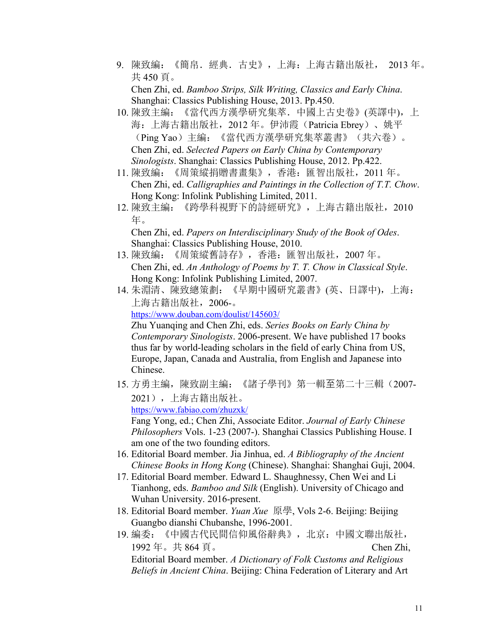- 9. 陳致編:《簡帛.經典.古史》,上海:上海古籍出版社, 2013 年。 共 450 頁。 Chen Zhi, ed. *Bamboo Strips, Silk Writing, Classics and Early China*. Shanghai: Classics Publishing House, 2013. Pp.450.
- 10. 陳致主編: 《當代西方漢學研究集萃. 中國上古史卷》(英譯中), 上 海:上海古籍出版社,2012 年。伊沛霞(Patricia Ebrey)、姚平 (Ping Yao)主編:《當代西方漢學研究集萃叢書》(共六卷)。 Chen Zhi, ed. *Selected Papers on Early China by Contemporary Sinologists*. Shanghai: Classics Publishing House, 2012. Pp.422.
- 11. 陳致編:《周策縱捐贈書畫集》,香港:匯智出版社,2011 年。 Chen Zhi, ed. *Calligraphies and Paintings in the Collection of T.T. Chow*. Hong Kong: Infolink Publishing Limited, 2011.
- 12. 陳致主編:《跨學科視野下的詩經研究》,上海古籍出版社,2010 **年。** スキャンプ しゅうしゅう しょうしょう

Chen Zhi, ed. *Papers on Interdisciplinary Study of the Book of Odes*. Shanghai: Classics Publishing House, 2010.

- 13. 陳致編:《周策縱舊詩存》,香港:匯智出版社,2007 年。 Chen Zhi, ed. *An Anthology of Poems by T. T. Chow in Classical Style*. Hong Kong: Infolink Publishing Limited, 2007.
- 14. 朱淵清、陳致總策劃:《早期中國研究叢書》(英、日譯中),上海: 上海古籍出版社,2006-。

<https://www.douban.com/doulist/145603/>

Zhu Yuanqing and Chen Zhi, eds. *Series Books on Early China by Contemporary Sinologists*. 2006-present. We have published 17 books thus far by world-leading scholars in the field of early China from US, Europe, Japan, Canada and Australia, from English and Japanese into Chinese.

15. 方勇主編,陳致副主編: 《諸子學刊》第一輯至第二十三輯(2007-2021),上海古籍出版社。 <https://www.fabiao.com/zhuzxk/>

Fang Yong, ed.; Chen Zhi, Associate Editor. *Journal of Early Chinese Philosophers* Vols. 1-23 (2007-). Shanghai Classics Publishing House. I am one of the two founding editors.

- 16. Editorial Board member. Jia Jinhua, ed. *A Bibliography of the Ancient Chinese Books in Hong Kong* (Chinese). Shanghai: Shanghai Guji, 2004.
- 17. Editorial Board member. Edward L. Shaughnessy, Chen Wei and Li Tianhong, eds. *Bamboo and Silk* (English). University of Chicago and Wuhan University. 2016-present.
- 18. Editorial Board member. *Yuan Xue* 原學, Vols 2-6. Beijing: Beijing Guangbo dianshi Chubanshe, 1996-2001.
- 19. 編委:《中國古代民間信仰風俗辭典》,北京:中國文聯出版社, 1992 年。共 864 頁。 Chen Zhi, Editorial Board member. *A Dictionary of Folk Customs and Religious Beliefs in Ancient China*. Beijing: China Federation of Literary and Art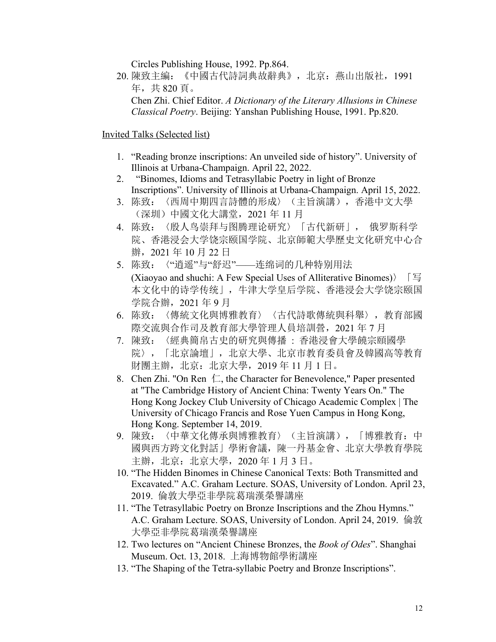Circles Publishing House, 1992. Pp.864.

20. 陳致主編:《中國古代詩詞典故辭典》,北京:燕山出版社,1991 年,共 820 頁。

Chen Zhi. Chief Editor. *A Dictionary of the Literary Allusions in Chinese Classical Poetry*. Beijing: Yanshan Publishing House, 1991. Pp.820.

Invited Talks (Selected list)

- 1. "Reading bronze inscriptions: An unveiled side of history". University of Illinois at Urbana-Champaign. April 22, 2022.
- 2. "Binomes, Idioms and Tetrasyllabic Poetry in light of Bronze Inscriptions". University of Illinois at Urbana-Champaign. April 15, 2022.
- 3. 陈致:〈西周中期四言詩體的形成〉(主旨演講),香港中文大學 (深圳)中國文化大講堂,2021 年 11 月
- 4. 陈致:〈殷人鸟崇拜与图腾理论研究〉「古代新研」, 俄罗斯科学 院、香港浸会大学饶宗颐国学院、北京師範大學歷史文化研究中心合 辦,2021 年 10 月 22 日
- 5. 陈致:〈"逍遥"与"舒迟"——连绵词的几种特别用法
- (Xiaoyao and shuchi: A Few Special Uses of Alliterative Binomes)  $\sqrt{5}$ 本文化中的诗学传统」,牛津大学皇后学院、香港浸会大学饶宗颐国 学院合辦,2021 年 9 月
- 6. 陈致:〈傳統文化與博雅教育〉〈古代詩歌傳統與科舉〉,教育部國 際交流與合作司及教育部大學管理人員培訓營,2021 年 7 月
- 7. 陳致:〈經典簡帛古史的研究與傳播 : 香港浸會大學饒宗頤國學 院〉,「北京論壇」,北京大學、北京市教育委員會及韓國高等教育 財團主辦,北京:北京大學,2019 年 11 月 1 日。
- 8. Chen Zhi. "On Ren  $\Box$ , the Character for Benevolence," Paper presented at "The Cambridge History of Ancient China: Twenty Years On." The Hong Kong Jockey Club University of Chicago Academic Complex | The University of Chicago Francis and Rose Yuen Campus in Hong Kong, Hong Kong. September 14,2019.
- 9. 陳致:〈中華文化傳承與博雅教育〉(主旨演講),「博雅教育:中 國與西方跨文化對話」學術會議,陳一丹基金會、北京大學教育學院 主辦,北京:北京大學,2020 年 1 月 3 日。
- 10. "The Hidden Binomes in Chinese Canonical Texts: Both Transmitted and Excavated." A.C. Graham Lecture. SOAS, University of London. April 23, 2019. 倫敦大學亞非學院葛瑞漢榮譽講座
- 11. "The Tetrasyllabic Poetry on Bronze Inscriptions and the Zhou Hymns." A.C. Graham Lecture. SOAS, University of London.April 24, 2019. 倫敦 大學亞非學院葛瑞漢榮譽講座
- 12. Two lectures on "Ancient Chinese Bronzes, the *Book of Odes*". Shanghai Museum. Oct. 13, 2018. 上海博物館學術講座
- 13. "The Shaping of the Tetra-syllabic Poetry and Bronze Inscriptions".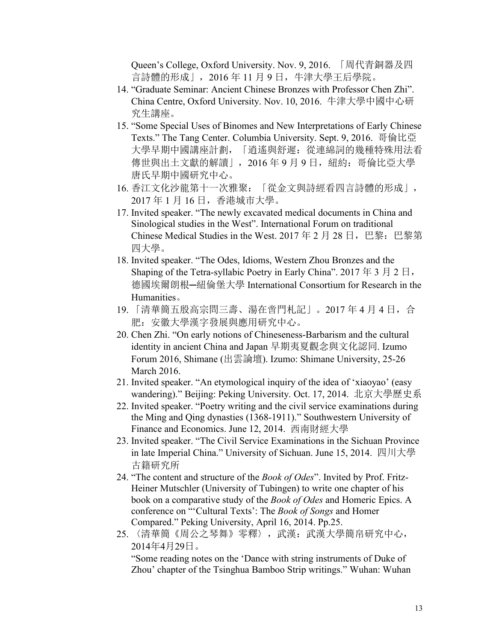Queen's College, Oxford University. Nov. 9, 2016. 「周代青銅器及四 言詩體的形成」,2016 年 11 月 9 日,牛津大學王后學院。

- 14. "Graduate Seminar: Ancient Chinese Bronzes with Professor Chen Zhi". China Centre, Oxford University.Nov. 10, 2016. 牛津大學中國中心研 究生講座。
- 15. "Some Special Uses of Binomes and New Interpretations of Early Chinese Texts." The Tang Center. Columbia University. Sept. 9, 2016. 哥倫比亞 大學早期中國講座計劃, 「逍遙與舒遲: 從連綿詞的幾種特殊用法看 傳世與出土文獻的解讀」,2016年9月9日,紐約:哥倫比亞大學 唐氏早期中國研究中心。
- 16. 香江文化沙龍第十一次雅聚:「從金文與詩經看四言詩體的形成」, 2017 年 1 月 16 日,香港城市大學。
- 17. Invited speaker. "The newly excavated medical documents in China and Sinological studies in the West". International Forum on traditional Chinese Medical Studies in the West. 2017年2月28日, 巴黎:巴黎第 四大學。
- 18. Invited speaker. "The Odes, Idioms, Western Zhou Bronzes and the Shaping of the Tetra-syllabic Poetry in Early China". 2017年3月2日, 德國埃爾朗根—紐倫堡大學 International Consortium for Research in the Humanities。
- 19. 「清華簡五殷高宗問三壽、湯在啻門札記」。2017 年 4 月 4 日,合 肥:安徽大學漢字發展與應用研究中心。
- 20. Chen Zhi. "On early notions of Chineseness-Barbarism and the cultural identity in ancient China and Japan 早期夷夏觀念與文化認同. Izumo Forum 2016, Shimane (出雲論壇). Izumo: Shimane University, 25-26 March 2016.
- 21. Invited speaker. "An etymological inquiry of the idea of 'xiaoyao' (easy wandering)." Beijing: Peking University. Oct. 17, 2014. 北京大學歷史系
- 22. Invited speaker. "Poetry writing and the civil service examinations during the Ming and Qing dynasties (1368-1911)." Southwestern University of Finance and Economics. June 12, 2014. 西南財經大學
- 23. Invited speaker. "The Civil Service Examinations in the Sichuan Province in late Imperial China." University of Sichuan. June 15, 2014. 四川大學 古籍研究所
- 24. "The contentand structure of the *Book of Odes*". Invited by Prof. Fritz- Heiner Mutschler (University of Tubingen) to write one chapter of his book on a comparative study of the *Book of Odes* and Homeric Epics. A conference on "'Cultural Texts': The *Book of Songs* and Homer Compared." Peking University, April 16, 2014. Pp.25.
- 25. 〈清華簡《周公之琴舞》零釋〉,武漢: 武漢大學簡帛研究中心, 2014年4月29日。

"Some reading notes on the 'Dance with string instruments of Duke of Zhou' chapter of the Tsinghua Bamboo Strip writings." Wuhan: Wuhan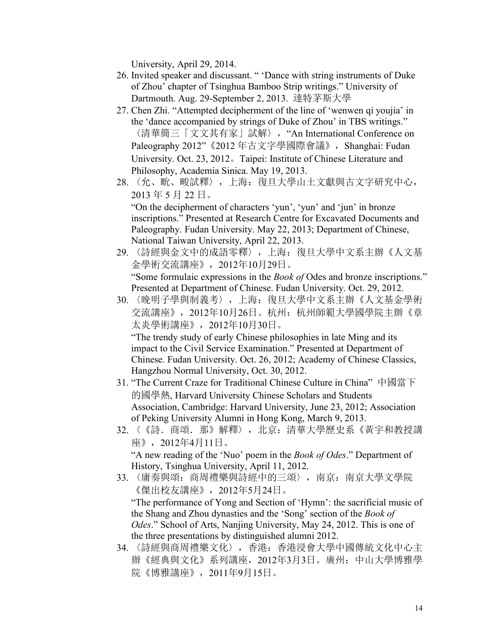University, April 29, 2014.

- 26. Invited speaker and discussant. " 'Dance with string instruments of Duke of Zhou' chapter of Tsinghua Bamboo Strip writings." University of Dartmouth. Aug. 29-September 2, 2013. 達特茅斯大學
- 27. Chen Zhi. "Attempted decipherment of the line of 'wenwen qi youjia' in the 'dance accompanied by strings of Duke of Zhou' in TBS writings." 〈清華簡三「文文其有家」試解〉, "An International Conference on Paleography 2012" 《2012 年古文字學國際會議》, Shanghai: Fudan University. Oct. 23, 2012。Taipei: Institute of Chinese Literature and Philosophy, Academia Sinica. May 19, 2013.
- 28. 〈允、㽙、畯試釋〉,上海:復旦大學山土文獻與古文字研究中心, 2013 年 5 月 22 日。 "On the decipherment of characters 'yun', 'yun' and 'jun' in bronze inscriptions." Presented at Research Centre for Excavated Documents and

Paleography. Fudan University. May 22, 2013; Department of Chinese, National Taiwan University, April 22, 2013.

- 29. 〈詩經與金文中的成語零釋〉,上海:復旦大學中文系主辦《人文基 金學術交流講座》,2012年10月29日。 "Some formulaic expressions in the *Book of* Odes and bronze inscriptions." Presented at Department of Chinese. Fudan University.Oct. 29, 2012.
- 30. 〈晚明子學與制義考〉,上海:復旦大學中文系主辦《人文基金學術 交流講座》,2012年10月26日。杭州:杭州師範大學國學院主辦《章 太炎學術講座》,2012年10月30日。 "The trendy study of early Chinese philosophies in late Ming and its

impact to the Civil Service Examination." Presented at Department of Chinese. Fudan University. Oct. 26, 2012; Academy of Chinese Classics, Hangzhou Normal University, Oct. 30, 2012.

- 31. "The Current Craze for Traditional Chinese Culture in China" 中國當下 的國學熱, Harvard University Chinese Scholars and Students Association, Cambridge: Harvard University, June 23, 2012; Association of Peking University Alumni in Hong Kong, March 9, 2013.
- 32. 〈《詩. 商頌. 那》解釋〉, 北京: 清華大學歷史系《黃宇和教授講 座》,2012年4月11日。 "A new reading of the 'Nuo' poem in the *Book of Odes*." Department of History, Tsinghua University, April 11, 2012.
- 33. 〈庸奏與頌: 商周禮樂與詩經中的三頌〉,南京: 南京大學文學院 《傑出校友講座》,2012年5月24日。

"The performance of Yong and Section of 'Hymn': the sacrificial music of the Shang and Zhou dynasties and the 'Song' section of the *Book of Odes*." School of Arts, Nanjing University, May 24, 2012. This is one of the three presentations by distinguished alumni 2012.

34. 〈詩經與商周禮樂文化〉,香港:香港浸會大學中國傳統文化中心主 辦《經典與文化》系列講座,2012年3月3日。廣州:中山大學博雅學 院《博雅講座》,2011年9月15日。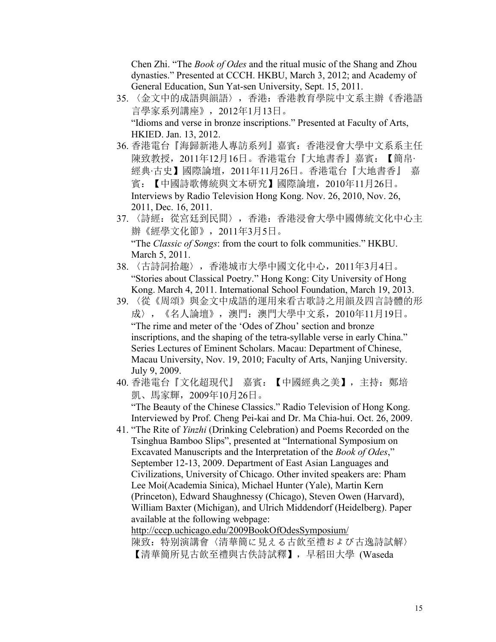Chen Zhi. "The *Book of Odes* and the ritual music of the Shang and Zhou dynasties." Presented at CCCH. HKBU, March 3, 2012; and Academy of General Education, Sun Yat-sen University, Sept. 15, 2011.

- 35. 〈金文中的成語與韻語〉,香港:香港教育學院中文系主辦《香港語 言學家系列講座》,2012年1月13日。 "Idioms and verse in bronze inscriptions." Presented at Faculty of Arts, HKIED. Jan. 13, 2012.
- 36. 香港電台『海歸新港人專訪系列』嘉賓:香港浸會大學中文系系主任 陳致教授,2011年12月16日。香港電台『大地書香』嘉賓:【簡帛‧ 經典‧古史】國際論壇,2011年11月26日。香港電台『大地書香』 嘉 賓:【中國詩歌傳統與文本研究】國際論壇,2010年11月26日。 Interviews by Radio Television Hong Kong. Nov. 26, 2010, Nov. 26, 2011, Dec. 16, 2011.
- 37. 〈詩經:從宮廷到民間〉,香港:香港浸會大學中國傳統文化中心主 辦《經學文化節》,2011年3月5日。 "The *Classic of Songs*: from the court to folk communities." HKBU. March 5, 2011.
- 38. 〈古詩詞拾趣〉,香港城市大學中國文化中心,2011年3月4日。 "Stories about Classical Poetry." Hong Kong: City University of Hong Kong. March 4, 2011. International School Foundation, March 19, 2013.
- 39. 〈從《周頌》與金文中成語的運用來看古歌詩之用韻及四言詩體的形 成〉,《名人論壇》,澳門:澳門大學中文系,2010年11月19日。 "The rime and meter of the 'Odes of Zhou' section and bronze inscriptions, and the shaping of the tetra-syllable verse in early China." Series Lectures of Eminent Scholars. Macau: Department of Chinese, Macau University, Nov. 19, 2010; Faculty of Arts, Nanjing University. July 9, 2009.
- 40. 香港電台『文化超現代』 嘉賓:【中國經典之美】,主持:鄭培 凱、馬家輝,2009年10月26日。 "The Beauty of the Chinese Classics." Radio Television of Hong Kong. Interviewed by Prof. Cheng Pei-kai and Dr. Ma Chia-hui. Oct. 26, 2009.
- 41. "The Rite of *Yinzhi* (Drinking [Celebration\)](http://cccp.uchicago.edu/2009BookOfOdesSymposium/2009_BookOfOdesSymposium_ChenZhi.pdf) and Poems Recorded on the Tsinghua Bamboo Slips", presented at "International Symposium on Excavated Manuscripts and the Interpretation of the *Book of Odes*," September 12-13, 2009. Department of East Asian Languages and Civilizations, University of Chicago. Other invited speakers are: Pham Lee Moi(Academia Sinica), Michael Hunter (Yale), Martin Kern (Princeton), Edward Shaughnessy (Chicago), Steven Owen (Harvard), William Baxter (Michigan), and Ulrich Middendorf (Heidelberg). Paper available at the following webpage: <http://cccp.uchicago.edu/2009BookOfOdesSymposium/>

陳致:特别演講會〈清華簡に見える古飲至禮および古逸詩試解〉 【清華簡所見古飲至禮與古佚詩試釋】,早稻田大學 (Waseda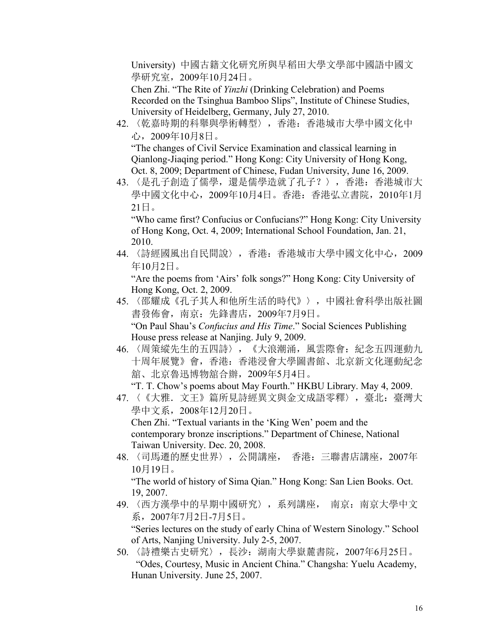University) 中國古籍文化研究所與早稻田大學文學部中國語中國文 學研究室,2009年10月24日。

Chen Zhi. "The Rite of *Yinzhi* (Drinking [Celebration\)](http://cccp.uchicago.edu/2009BookOfOdesSymposium/2009_BookOfOdesSymposium_ChenZhi.pdf) and Poems Recorded on the Tsinghua Bamboo Slips", Institute of Chinese Studies, University of Heidelberg, Germany, July 27, 2010.

42. 〈乾嘉時期的科舉與學術轉型〉,香港:香港城市大學中國文化中 心,2009年10月8日。 "The changes of Civil Service Examination and classical learning in

Qianlong-Jiaqing period." Hong Kong: City University of Hong Kong, Oct. 8, 2009; Department of Chinese, Fudan University, June 16, 2009.

43. 〈是孔子創造了儒學,還是儒學造就了孔子? 〉, 香港: 香港城市大 學中國文化中心,2009年10月4日。香港:香港弘立書院,2010年1月  $21 \boxminus$  .

"Who came first? Confucius or Confucians?" Hong Kong: City University of Hong Kong, Oct. 4, 2009; International School Foundation, Jan. 21, 2010.

44. 〈詩經國風出自民間說〉,香港:香港城市大學中國文化中心,2009 年10月2日。

"Are the poems from 'Airs' folk songs?" Hong Kong: City University of Hong Kong, Oct. 2, 2009.

- 45. 〈邵耀成《孔子其人和他所生活的時代》〉,中國社會科學出版社圖 書發佈會,南京: 先鋒書店, 2009年7月9日。 "On Paul Shau's *Confucius and His Time*." Social Sciences Publishing House press release at Nanjing. July 9, 2009.
- 46. 〈周策縱先生的五四詩〉,《大浪潮涌,風雲際會:紀念五四運動九 十周年展覽》會,香港:香港浸會大學圖書館、北京新文化運動紀念 舘、北京魯迅博物舘合辦,2009年5月4日。

"T. T. Chow's poems about May Fourth." HKBU Library. May 4, 2009.

47. 〈《大雅. 文王》篇所見詩經異文與金文成語零釋〉, 臺北: 臺灣大 學中文系,2008年12月20日。 Chen Zhi. "Textual variants in the 'King Wen' poem and the

contemporary bronze inscriptions." Department of Chinese, National Taiwan University. Dec. 20, 2008.

48. 〈司馬遷的歷史世界〉,公開講座, 香港:三聯書店講座,2007年 10月19日。

"The world of history of Sima Qian." Hong Kong: San Lien Books. Oct. 19, 2007.

49. 〈西方漢學中的早期中國研究〉,系列講座, 南京:南京大學中文 系,2007年7月2日-7月5日。

"Series lectures on the study of early China of Western Sinology." School of Arts, Nanjing University. July 2-5, 2007.

50. 〈詩禮樂古史研究〉,長沙:湖南大學嶽麓書院,2007年6月25日。 "Odes, Courtesy, Music in Ancient China." Changsha: Yuelu Academy, Hunan University. June 25, 2007.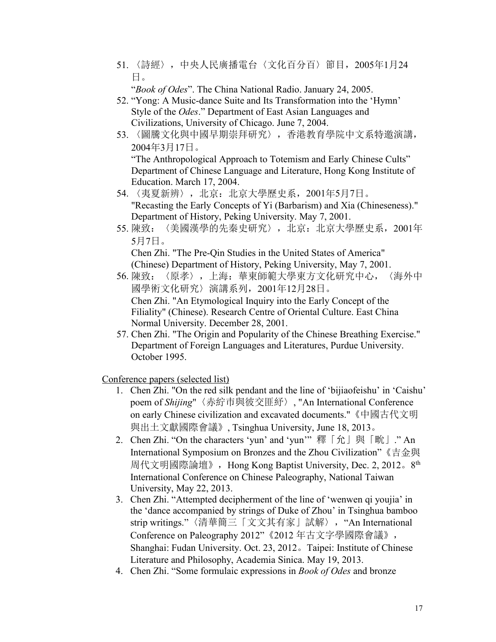51. 〈詩經〉,中央人民廣播電台〈文化百分百〉節目,2005年1月24 日。

"*Book of Odes*". The China National Radio. January 24, 2005.

- 52. "Yong: A Music-dance Suite and Its Transformation into the 'Hymn' Style of the *Odes*." Department of East Asian Languages and Civilizations, University of Chicago. June 7, 2004.
- 53. 〈圖騰文化與中國早期崇拜研究〉,香港教育學院中文系特邀演講, 2004年3月17日。 "The Anthropological Approach to Totemism and Early Chinese Cults" Department of Chinese Language and Literature, Hong Kong Institute of Education. March 17, 2004.
- 54. 〈夷夏新辨〉, 北京: 北京大學歷史系, 2001年5月7日。 "Recasting the Early Concepts of Yi (Barbarism) and Xia (Chineseness)." Department of History, Peking University. May 7, 2001.
- 55. 陳致:〈美國漢學的先秦史研究〉,北京:北京大學歷史系,2001年 5月7日。

Chen Zhi. "The Pre-Qin Studies in the United States of America" (Chinese) Department of History, Peking University, May 7, 2001.

- 56. 陳致:〈原孝〉,上海:華東師範大學東方文化研究中心,〈海外中 國學術文化研究〉演講系列,2001年12月28日。 Chen Zhi. "An Etymological Inquiry into the Early Concept of the Filiality" (Chinese). Research Centre of Oriental Culture. East China Normal University. December 28,2001.
- 57. Chen Zhi. "The Origin and Popularity of the Chinese Breathing Exercise." Department of Foreign Languages and Literatures, Purdue University. October 1995.

Conference papers (selected list)

- 1. Chen Zhi. "On the red silk pendant and the line of 'bijiaofeishu' in 'Caishu' poem of *Shijing*"〈赤紵市與彼交匪紓〉, "An International Conference on early Chinese civilization and excavated documents."《中國古代文明 與出土文獻國際會議》, Tsinghua University, June 18, 2013。
- 2. Chen Zhi. "On the characters 'yun' and 'yun'" 釋「允」與「畍」." An International Symposium on Bronzes and the Zhou Civilization"《吉金與 周代文明國際論壇》, Hong Kong Baptist University, Dec. 2, 2012。8<sup>th</sup> the contract of the contract of the contract of the contract of the contract of the contract of the contract of the contract of the contract of the contract of the contract of the contract of the contract of the contract o International Conference on Chinese Paleography, National Taiwan University, May 22, 2013.
- 3. Chen Zhi. "Attempted decipherment of the line of 'wenwen qi youjia' in the 'dance accompanied by strings of Duke of Zhou' in Tsinghua bamboo strip writings."〈清華簡三「文文其有家」試解〉, "An International Conference on Paleography 2012"《2012 年古文字學國際會議》, Shanghai: Fudan University. Oct. 23, 2012。Taipei: Institute of Chinese Literature and Philosophy, Academia Sinica. May 19, 2013.
- 4. Chen Zhi. "Some formulaic expressions in *Book of Odes* and bronze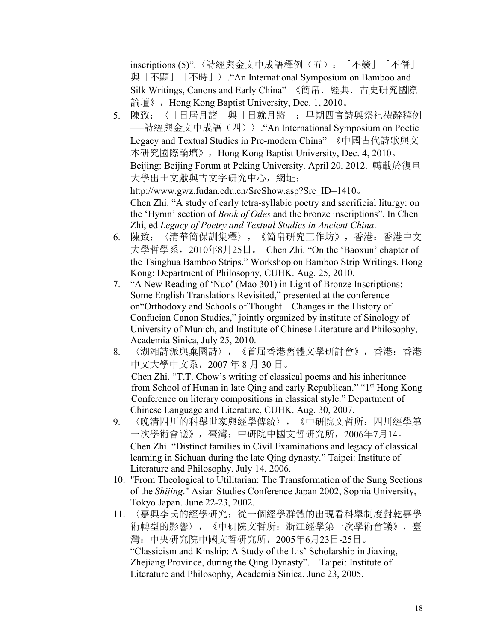inscriptions (5)".〈詩經與金文中成語釋例(五):「不競」「不僭」 與「不顯」「不時」〉."An International Symposium on Bamboo and Silk Writings, Canons and Early China" 《簡帛.經典.古史研究國際 論壇》, Hong Kong Baptist University, Dec. 1, 2010。

5. 陳致:〈「日居月諸」與「日就月將」:早期四言詩與祭祀禮辭釋例 **──**詩經與金文中成語(四)》. "An International Symposium on Poetic Legacy and Textual Studies in Pre-modern China" 《中國古代詩歌與文 本研究國際論壇》,Hong Kong Baptist University, Dec. 4, 2010。 Beijing: Beijing Forum at Peking University. April 20, 2012. 轉載於復旦 大學出土文獻與古文字研究中心, 網址: http://www.gwz.fudan.edu.cn/SrcShow.asp?Src\_ID=1410。 Chen Zhi. "A study of early tetra-syllabic poetry and sacrificial liturgy: on

the 'Hymn' section of *Book of Odes* and the bronze inscriptions". In Chen Zhi, ed *Legacy of Poetry and Textual Studies in Ancient China*. 6. 陳致:〈清華簡保訓集釋〉,《簡帛研究工作坊》,香港:香港中文

- 大學哲學系,2010年8月25日。 Chen Zhi. "On the 'Baoxun' chapter of the Tsinghua Bamboo Strips." Workshop on Bamboo Strip Writings. Hong Kong: Department of Philosophy, CUHK. Aug. 25, 2010.
- 7. "A New Reading of 'Nuo' (Mao 301) in Light of Bronze Inscriptions: Some English Translations Revisited," presented at the conference on"Orthodoxy and Schools of Thought—Changes in the History of Confucian Canon Studies," jointly organized by institute of Sinology of University of Munich, and Institute of Chinese Literature and Philosophy, Academia Sinica, July 25, 2010.
- 8. 〈湖湘詩派與棄園詩〉,《首届香港舊體文學研討會》,香港:香港 中文大學中文系,2007 年 8 月 30 日。 Chen Zhi. "T.T. Chow's writing of classical poems and his inheritance from School of Hunan in late Qing and early Republican." "1 st Hong Kong Conference on literary compositions in classical style." Department of Chinese Language and Literature, CUHK. Aug. 30, 2007.
- 9. 〈晚清四川的科舉世家與經學傳統〉,《中研院文哲所:四川經學第 一次學術會議》,臺灣:中研院中國文哲研究所,2006年7月14。 Chen Zhi. "Distinct families in Civil Examinations and legacy of classical learning in Sichuan during the late Qing dynasty." Taipei: Institute of Literature and Philosophy. July 14, 2006.
- 10. "From Theological to Utilitarian: The Transformation of the Sung Sections of the *Shijing*." Asian Studies Conference Japan 2002, Sophia University, Tokyo Japan. June 22-23, 2002.
- 11. 〈嘉興李氏的經學研究:從一個經學群體的出現看科舉制度對乾嘉學 術轉型的影響〉,《中研院文哲所:浙江經學第一次學術會議》,臺 灣:中央研究院中國文哲研究所,2005年6月23日-25日。 "Classicism and Kinship: A Study of the Lis' Scholarship in Jiaxing, Zhejiang Province, during the Qing Dynasty". Taipei: Institute of Literature and Philosophy, Academia Sinica. June 23, 2005.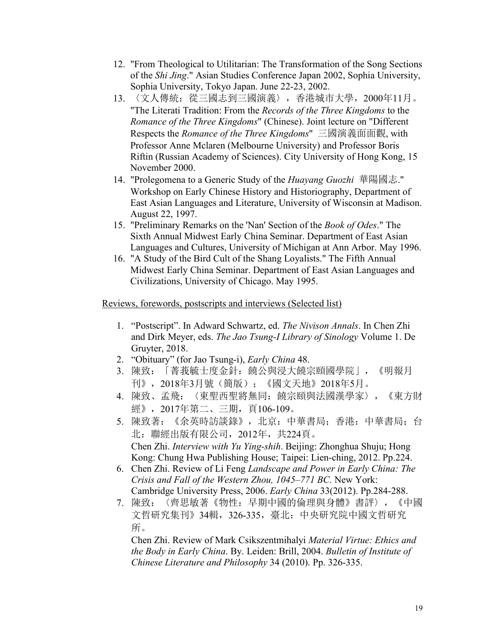- 12. "From Theological to Utilitarian: The Transformation of the Song Sections of the *Shi Jing*." Asian Studies Conference Japan 2002, Sophia University, Sophia University, Tokyo Japan. June 22-23, 2002.
- 13. 〈文人傳統:從三國志到三國演義〉,香港城市大學,2000年11月。 "The Literati Tradition: From the *Records of the Three Kingdoms* to the *Romance of the Three Kingdoms*" (Chinese). Joint lecture on "Different Respects the *Romance of the Three Kingdoms*" 三國演義面面觀, with Professor Anne Mclaren (Melbourne University) and Professor Boris Riftin (Russian Academy of Sciences). City University of Hong Kong, 15 November 2000.
- 14. "Prolegomena to a Generic Study of the *Huayang Guozhi* 華陽國志." Workshop on Early Chinese History and Historiography, Department of East Asian Languages and Literature, University of Wisconsin at Madison. August 22, 1997.
- 15. "Preliminary Remarks on the 'Nan' Section of the *Book of Odes*." The Sixth Annual Midwest Early China Seminar. Department of East Asian Languages and Cultures, University of Michigan at Ann Arbor. May 1996.
- 16. "A Study of the Bird Cult of the Shang Loyalists." The Fifth Annual Midwest Early China Seminar. Department of East Asian Languages and Civilizations, University of Chicago. May 1995.

#### Reviews, forewords, postscripts and interviews (Selected list)

- 1. "Postscript". In Adward Schwartz, ed. *The Nivison Annals*. In Chen Zhi and Dirk Meyer, eds. *The Jao Tsung-I Library of Sinology* Volume 1. De Gruyter, 2018.
- 2. "Obituary" (for Jao Tsung-i), *Early China* 48.
- 3. 陳致:「菁莪毓士度金針:饒公與浸大饒宗頤國學院」,《明報月 刊》,2018年3月號(簡版);《國文天地》2018年5月。
- 4. 陳致、孟飛:〈東聖西聖將無同:饒宗頤與法國漢學家〉,《東方財 經》,2017年第二、三期,頁106-109。
- 5. 陳致著:《余英時訪談錄》,北京:中華書局;香港:中華書局;台 北:聯經出版有限公司,2012年,共224頁。 Chen Zhi. *Interview with Yu Ying-shih*. Beijing: Zhonghua Shuju; Hong Kong: Chung Hwa Publishing House; Taipei: Lien-ching, 2012. Pp.224.
- 6. Chen Zhi. Review of LiFeng *Landscape and Power in Early China: The Crisis and Fall of the Western Zhou, 1045–771 BC.* New York: Cambridge University Press, 2006. *Early China* 33(2012). Pp.284-288.
- 7. 陳致:〈齊思敏著《物性:早期中國的倫理與身體》書評〉,《中國 文哲研究集刊》34輯,326-335,臺北:中央研究院中國文哲研究 所。

Chen Zhi. Review of Mark Csikszentmihalyi *Material Virtue: Ethics and the Body in Early China*. By. Leiden: Brill, 2004. *Bulletin of Institute of Chinese Literature and Philosophy* 34 (2010). Pp.326-335.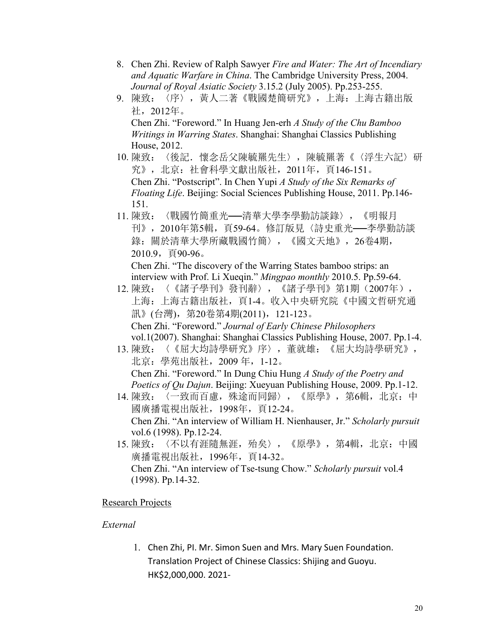- 8. Chen Zhi. Review of Ralph Sawyer *Fire and Water: The Art of Incendiary and Aquatic Warfare in China*. The Cambridge University Press, 2004. *Journal of Royal Asiatic Society* 3.15.2 (July 2005). Pp.253-255.
- 9. 陳致:〈序〉,黃人二著《戰國楚簡研究》,上海:上海古籍出版 社,2012年。 Chen Zhi. "Foreword." In Huang Jen-erh *A Study of the Chu Bamboo Writings in Warring States*. Shanghai: Shanghai Classics Publishing House, 2012.
- 10. 陳致: 〈後記. 懷念岳父陳毓羆先生〉, 陳毓羆著《〈浮生六記〉研 究》,北京:社會科學文獻出版社,2011年,頁146-151。 Chen Zhi. "Postscript". In Chen Yupi *A Study of the Six Remarks of Floating Life*. Beijing: Social Sciences Publishing House, 2011. Pp.146- 151.
- 11. 陳致:〈戰國竹簡重光──清華大學李學勤訪談錄〉,《明報月 刊》,2010年第5輯,頁59-64。修訂版見〈詩史重光──李學勤訪談 錄:關於清華大學所藏戰國竹簡〉,《國文天地》,26卷4期, 2010.9,頁90-96。 Chen Zhi. "The discovery of the Warring States bamboo strips: an

interview with Prof. Li Xueqin." *Mingpao monthly* 2010.5. Pp.59-64.

- 12. 陳致:〈《諸子學刊》發刊辭〉,《諸子學刊》第1期(2007年), 上海:上海古籍出版社,頁1-4。收入中央研究院《中國文哲研究通 訊》(台灣), 第20卷第4期(2011), 121-123。 Chen Zhi. "Foreword." *Journal of Early Chinese Philosophers* vol.1(2007). Shanghai: Shanghai Classics Publishing House, 2007. Pp.1-4.
- 13. 陳致:〈《屈大均詩學研究》序〉,董就雄:《屈大均詩學研究》, 北京:學苑出版社,2009 年,1-12。 Chen Zhi. "Foreword." In Dung Chiu Hung *A Study of the Poetry and Poetics of Qu Dajun*. Beijing: Xueyuan Publishing House, 2009. Pp.1-12.
- 14. 陳致:〈一致而百慮,殊途而同歸〉,《原學》,第6輯,北京:中 國廣播電視出版社,1998年,頁12-24。 Chen Zhi. "An interview of William H. Nienhauser, Jr." *Scholarly pursuit* vol.6 (1998). Pp.12-24.
- 15. 陳致:〈不以有涯隨無涯,殆矣〉,《原學》,第4輯,北京:中國 廣播電視出版社,1996年,頁14-32。 Chen Zhi. "An interview of Tse-tsung Chow." *Scholarly pursuit* vol.4 (1998). Pp.14-32.

# **Research Projects**

# *External*

1. Chen Zhi, PI. Mr. Simon Suen and Mrs. Mary Suen Foundation. Translation Project of Chinese Classics: Shijing and Guoyu. HK\$2,000,000. 2021-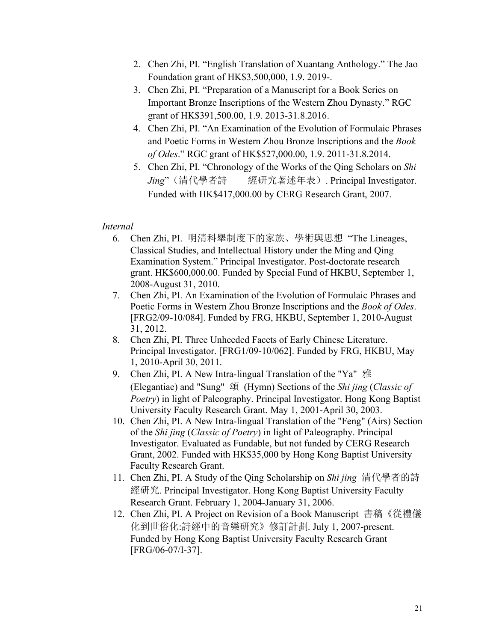- 2. Chen Zhi, PI. "English Translation of Xuantang Anthology." The Jao Foundation grant of HK\$3,500,000, 1.9. 2019-.
- 3. Chen Zhi, PI. "Preparation of a Manuscript for a Book Series on Important Bronze Inscriptions of the Western Zhou Dynasty." RGC grant of HK\$391,500.00, 1.9. 2013-31.8.2016.
- 4. Chen Zhi, PI. "An Examination of the Evolution of Formulaic Phrases and Poetic Forms in Western Zhou Bronze Inscriptions and the *Book of Odes*." RGC grant of HK\$527,000.00, 1.9. 2011-31.8.2014.
- 5. Chen Zhi, PI. "Chronology of the Works of the Qing Scholars on *Shi Jing*"(清代學者詩 經研究著述年表). Principal Investigator. Funded with HK\$417,000.00 by CERG Research Grant, 2007.

# *Internal*

- 6. Chen Zhi, PI. 明清科舉制度下的家族、學術與思想 "The Lineages, Classical Studies, and Intellectual History under the Ming and Qing Examination System." Principal Investigator. Post-doctorate research grant. HK\$600,000.00. Funded by Special Fund of HKBU, September 1, 2008-August 31, 2010.
- 7. Chen Zhi, PI. An Examination of the Evolution of Formulaic Phrases and Poetic Forms in Western Zhou Bronze Inscriptions and the *Book of Odes*. [FRG2/09-10/084]. Funded by FRG, HKBU, September 1, 2010-August 31, 2012.
- 8. Chen Zhi, PI. Three Unheeded Facets of Early Chinese Literature. Principal Investigator. [FRG1/09-10/062]. Funded by FRG, HKBU, May 1, 2010-April 30, 2011.
- 9. Chen Zhi, PI. A New Intra-lingual Translation of the "Ya" 雅 (Elegantiae) and "Sung" 頌 (Hymn) Sections ofthe *Shi jing* (*Classic of Poetry*) in light of Paleography. Principal Investigator. Hong Kong Baptist University Faculty Research Grant. May 1, 2001-April 30, 2003.
- 10. Chen Zhi, PI. A New Intra-lingual Translation of the "Feng" (Airs) Section of the *Shi jing* (*Classic of Poetry*) in light of Paleography. Principal Investigator. Evaluated as Fundable, but not funded by CERG Research Grant, 2002. Funded with HK\$35,000 by Hong Kong Baptist University Faculty Research Grant.
- 11. Chen Zhi, PI. A Study of the Qing Scholarship on *Shi jing* 清代學者的詩 經研究. Principal Investigator. Hong Kong Baptist University Faculty Research Grant. February 1, 2004-January 31, 2006.
- 12. Chen Zhi, PI. A Project on Revision of a Book Manuscript 書稿《從禮儀 化到世俗化:詩經中的音樂研究》修訂計劃. July 1, 2007-present. Funded by Hong Kong Baptist University Faculty Research Grant [FRG/06-07/I-37].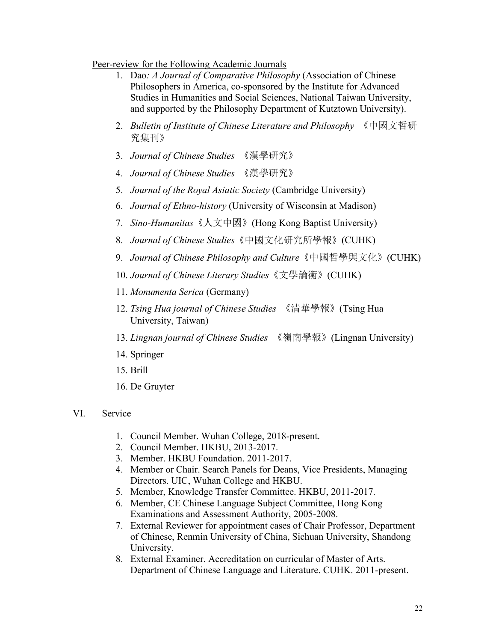#### Peer-review for the Following Academic Journals

- 1. Dao*: A Journal of Comparative Philosophy* (Association of Chinese Philosophers in America, co-sponsored by the Institute for Advanced Studies in Humanities and Social Sciences, National Taiwan University, and supported by the Philosophy Department of Kutztown University).
- 2. *Bulletin of Institute of Chinese Literature and Philosophy* 《中國文哲研 究集刊》
- 3. *Journal of Chinese Studies* 《漢學研究》
- 4. *Journal of Chinese Studies* 《漢學研究》
- 5. *Journal of the Royal Asiatic Society* (Cambridge University)
- 6. *Journal of Ethno-history* (University of Wisconsin at Madison)
- 7. *Sino-Humanitas*《人文中國》(Hong Kong Baptist University)
- 8. *Journal of Chinese Studies*《中國文化研究所學報》(CUHK)
- 9. *Journal of Chinese Philosophy and Culture*《中國哲學與文化》(CUHK)
- 10. *Journal of Chinese Literary Studies*《文學論衡》(CUHK)
- 11. *Monumenta Serica* (Germany)
- 12. *Tsing Hua journal ofChinese Studies* 《清華學報》(Tsing Hua University, Taiwan)
- 13. *Lingnan journal ofChinese Studies* 《嶺南學報》(Lingnan University)
- 14. Springer
- 15. Brill
- 16. De Gruyter
- VI. Service
	- 1. Council Member. Wuhan College, 2018-present.
	- 2. Council Member. HKBU, 2013-2017.
	- 3. Member. HKBU Foundation. 2011-2017.
	- 4. Member or Chair. Search Panels for Deans, Vice Presidents, Managing Directors. UIC, Wuhan College and HKBU.
	- 5. Member, Knowledge Transfer Committee. HKBU, 2011-2017.
	- 6. Member, CE Chinese Language Subject Committee, Hong Kong Examinations and Assessment Authority, 2005-2008.
	- 7. External Reviewer for appointment cases of Chair Professor, Department of Chinese, Renmin University of China, Sichuan University, Shandong University.
	- 8. External Examiner. Accreditation on curricular of Master of Arts. Department of Chinese Language and Literature. CUHK. 2011-present.